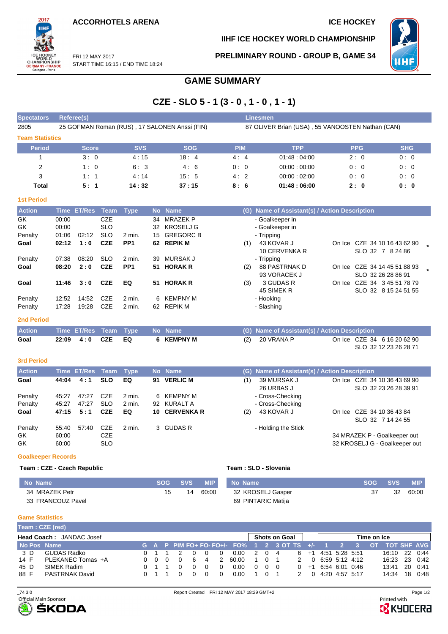**ACCORHOTELS ARENA ICE HOCKEY** 



**IIHF ICE HOCKEY WORLD CHAMPIONSHIP**

**PRELIMINARY ROUND - GROUP B, GAME 34**



FRI 12 MAY 2017 START TIME 16:15 / END TIME 18:24

# **GAME SUMMARY**

# **CZE - SLO 5 - 1 (3 - 0 , 1 - 0 , 1 - 1)**

| <b>Spectators</b>      | Referee(s)                                    |            |            | Linesmen   |                                                  |            |            |
|------------------------|-----------------------------------------------|------------|------------|------------|--------------------------------------------------|------------|------------|
| 2805                   | 25 GOFMAN Roman (RUS), 17 SALONEN Anssi (FIN) |            |            |            | 87 OLIVER Brian (USA), 55 VANOOSTEN Nathan (CAN) |            |            |
| <b>Team Statistics</b> |                                               |            |            |            |                                                  |            |            |
| <b>Period</b>          | <b>Score</b>                                  | <b>SVS</b> | <b>SOG</b> | <b>PIM</b> | <b>TPP</b>                                       | <b>PPG</b> | <b>SHG</b> |
|                        | 3:0                                           | 4:15       | 18:4       | 4:4        | 01:48:04:00                                      | 2:0        | 0:0        |
| 2                      | 1:0                                           | 6:3        | 4:6        | 0:0        | 00:00:00:00                                      | 0:0        | 0:0        |
| 3                      | 1:1                                           | 4:14       | 15:5       | 4:2        | 00:00:02:00                                      | 0:0        | 0:0        |
| Total                  | 5:1                                           | 14:32      | 37:15      | 8:6        | 01:48:06:00                                      | 2:0        | 0:0        |

#### **1st Period**

| <b>Action</b> |       | Time ET/Res Team |            | Type            |    | No Name          |     | (G) Name of Assistant(s) / Action Description |                              |  |
|---------------|-------|------------------|------------|-----------------|----|------------------|-----|-----------------------------------------------|------------------------------|--|
| GK.           | 00:00 |                  | <b>CZE</b> |                 | 34 | MRAZEK P         |     | - Goalkeeper in                               |                              |  |
| GK.           | 00:00 |                  | <b>SLO</b> |                 | 32 | KROSELJ G        |     | - Goalkeeper in                               |                              |  |
| Penalty       | 01:06 | 02:12            | <b>SLO</b> | 2 min.          | 15 | <b>GREGORC B</b> |     | - Tripping                                    |                              |  |
| Goal          | 02:12 | 1:0              | <b>CZE</b> | PP <sub>1</sub> |    | 62 REPIK M       | (1) | 43 KOVAR J                                    | On Ice CZE 34 10 16 43 62 90 |  |
|               |       |                  |            |                 |    |                  |     | 10 CERVENKA R                                 | SLO 32 7 8 24 86             |  |
| Penalty       | 07:38 | 08:20            | <b>SLO</b> | 2 min.          | 39 | MURSAK J         |     | - Tripping                                    |                              |  |
| Goal          | 08:20 | 2:0              | <b>CZE</b> | PP <sub>1</sub> |    | 51 HORAK R       | (2) | <b>88 PASTRNAK D</b>                          | On Ice CZE 34 14 45 51 88 93 |  |
|               |       |                  |            |                 |    |                  |     | 93 VORACEK J                                  | SLO 32 26 28 86 91           |  |
| Goal          | 11:46 | 3:0              | <b>CZE</b> | EQ              |    | 51 HORAK R       | (3) | 3 GUDAS R<br>On Ice                           | CZE 34 3 45 51 78 79         |  |
|               |       |                  |            |                 |    |                  |     | 45 SIMEK R                                    | SLO 32 8 15 24 51 55         |  |
| Penalty       | 12:52 | 14:52            | CZE        | 2 min.          | 6. | KEMPNY M         |     | - Hooking                                     |                              |  |
| Penalty       | 17:28 | 19:28            | <b>CZE</b> | 2 min.          | 62 | REPIK M          |     | - Slashing                                    |                              |  |

#### **2nd Period**

| <b>Action</b> |                   | Time ET/Res Team Type No Name |            | (G) Name of Assistant(s) / Action Description   |
|---------------|-------------------|-------------------------------|------------|-------------------------------------------------|
| Goal          | 22:09   4:0   CZE | EQ                            | 6 KEMPNY M | On Ice CZE 34 6 16 20 62 90<br>$(2)$ 20 VRANA P |
|               |                   |                               |            | SLO 32 12 23 26 28 71                           |

#### **3rd Period**

| <b>Action</b>       |                         | Time ET/Res Team |                                        | Type              |    | No Name         |     | (G) Name of Assistant(s) / Action Description |                                                               |
|---------------------|-------------------------|------------------|----------------------------------------|-------------------|----|-----------------|-----|-----------------------------------------------|---------------------------------------------------------------|
| Goal                | 44:04                   | 4:1              | <b>SLO</b>                             | EQ                | 91 | <b>VERLIC M</b> | (1) | 39 MURSAK J<br>26 URBAS J                     | On Ice CZE 34 10 36 43 69 90<br>SLO 32 23 26 28 39 91         |
| Penalty             | 45:27                   | 47:27            | CZE                                    | 2 min.            |    | 6 KEMPNY M      |     | - Cross-Checking                              |                                                               |
| Penalty             | 45:27                   | 47:27            | <b>SLO</b>                             | 2 min.            |    | 92 KURALT A     |     | - Cross-Checking                              |                                                               |
| Goal                | 47:15                   | 5:1              | <b>CZE</b>                             | EQ                |    | 10 CERVENKA R   | (2) | 43 KOVAR J                                    | On Ice CZE 34 10 36 43 84<br>SLO 32 7 14 24 55                |
| Penalty<br>GK<br>GK | 55:40<br>60:00<br>60:00 | 57:40            | <b>CZE</b><br><b>CZE</b><br><b>SLO</b> | $2 \text{ min}$ . |    | 3 GUDAS R       |     | - Holding the Stick                           | 34 MRAZEK P - Goalkeeper out<br>32 KROSELJ G - Goalkeeper out |

### **Goalkeeper Records**

#### **Team : CZE - Czech Republic Team : SLO - Slovenia**

| Team : SLO - Slovenia |  |  |  |  |  |  |  |  |  |
|-----------------------|--|--|--|--|--|--|--|--|--|
|-----------------------|--|--|--|--|--|--|--|--|--|

| No Name           |    | SOG SVS | <b>MIP</b> | No Name            | SOG SVS | <b>MIP</b> |
|-------------------|----|---------|------------|--------------------|---------|------------|
| 34 MRAZEK Petr    | 15 |         | 14 60:00   | 32 KROSELJ Gasper  | -32     | 60:00      |
| 33 FRANCOUZ Pavel |    |         |            | 69 PINTARIC Matija |         |            |

#### **Game Statistics**

| Team: CZE (red) |                                 |             |     |          |   |               |                                             |                  |                |                      |               |          |                        |                    |             |                  |          |
|-----------------|---------------------------------|-------------|-----|----------|---|---------------|---------------------------------------------|------------------|----------------|----------------------|---------------|----------|------------------------|--------------------|-------------|------------------|----------|
|                 | <b>Head Coach: JANDAC Josef</b> |             |     |          |   |               |                                             |                  |                | <b>Shots on Goal</b> |               |          |                        |                    | Time on Ice |                  |          |
| No Pos Name     |                                 |             |     |          |   |               | G A P PIM FO+ FO- FO+/- FO% 1 2 3 OT TS +/- |                  |                |                      |               |          |                        |                    |             | OT TOT SHF AVG I |          |
| 3 D             | GUDAS Radko                     | $0 \t1 \t1$ |     |          |   |               | 0.00                                        | $\overline{2}$ . | $0\quad 4$     |                      |               |          | $6 + 1$ 4:51 5:28 5:51 |                    |             | 16:10            | 22 0:44  |
| 14 F            | PLEKANEC Tomas +A               | 000         | - 0 | -6       | 4 | $\mathcal{P}$ | 60.00                                       |                  | 0 <sub>1</sub> |                      | $\mathcal{P}$ |          |                        | $0$ 6:59 5:12 4:12 |             | 16:23 23 0:42    |          |
| 45 D            | SIMEK Radim                     |             |     | $\Omega$ |   |               | 0.00                                        |                  | 000            |                      |               |          | $0 + 16.546010.46$     |                    |             | 13:41            | 20 0:41  |
| 88 F            | PASTRNAK David                  |             |     |          |   |               | 0.00                                        |                  | 0 1            |                      | $\mathcal{P}$ | $\Omega$ | 4:20 4:57 5:17         |                    |             | 14:34            | 18  0:48 |